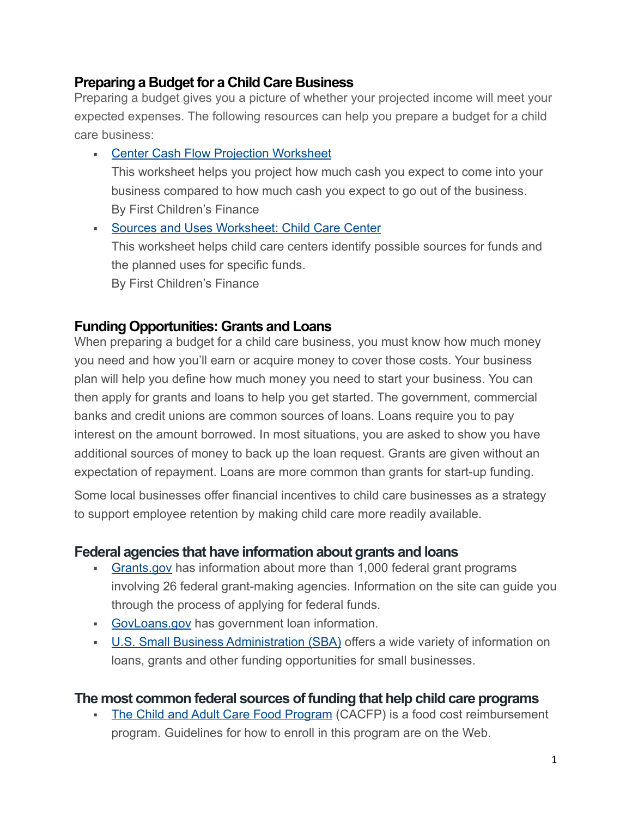### **Preparing a Budget for a Child Care Business**

Preparing a budget gives you a picture of whether your projected income will meet your expected expenses. The following resources can help you prepare a budget for a child care business:

**• [Center Cash Flow Projection Worksheet](http://www.firstchildrensfinance.org/businessresourcecenter/wp-content/blogs.dir/2/files/2015/01/Tool-Center-Cash-Flow-Template-and-Sample-6-20031.xls)** This worksheet helps you project how much cash you expect to come into your business compared to how much cash you expect to go out of the business. By First Children's Finance

▪ [Sources and Uses Worksheet: Child Care Center](http://www.firstchildrensfinance.org/businessresourcecenter/wp-content/blogs.dir/2/files/2011/06/Tool-Center-Sources-and-Uses.doc) This worksheet helps child care centers identify possible sources for funds and the planned uses for specific funds. By First Children's Finance

## **Funding Opportunities: Grants and Loans**

When preparing a budget for a child care business, you must know how much money you need and how you'll earn or acquire money to cover those costs. Your business plan will help you define how much money you need to start your business. You can then apply for grants and loans to help you get started. The government, commercial banks and credit unions are common sources of loans. Loans require you to pay interest on the amount borrowed. In most situations, you are asked to show you have additional sources of money to back up the loan request. Grants are given without an expectation of repayment. Loans are more common than grants for start-up funding.

Some local businesses offer financial incentives to child care businesses as a strategy to support employee retention by making child care more readily available.

## **Federal agencies that have information about grants and loans**

- **[Grants.gov](https://www.grants.gov/) has information about more than 1,000 federal grant programs** involving 26 federal grant-making agencies. Information on the site can guide you through the process of applying for federal funds.
- **[GovLoans.gov](https://www.govloans.gov/) has government loan information.**
- [U.S. Small Business Administration \(SBA\)](https://www.sba.gov/funding-programs) offers a wide variety of information on loans, grants and other funding opportunities for small businesses.

### **The most common federal sources of funding that help child care programs**

**Example 2.1 [The Child and Adult Care Food Program](https://www.fns.usda.gov/cacfp/child-and-adult-care-food-program) (CACFP) is a food cost reimbursement** program. Guidelines for how to enroll in this program are on the Web.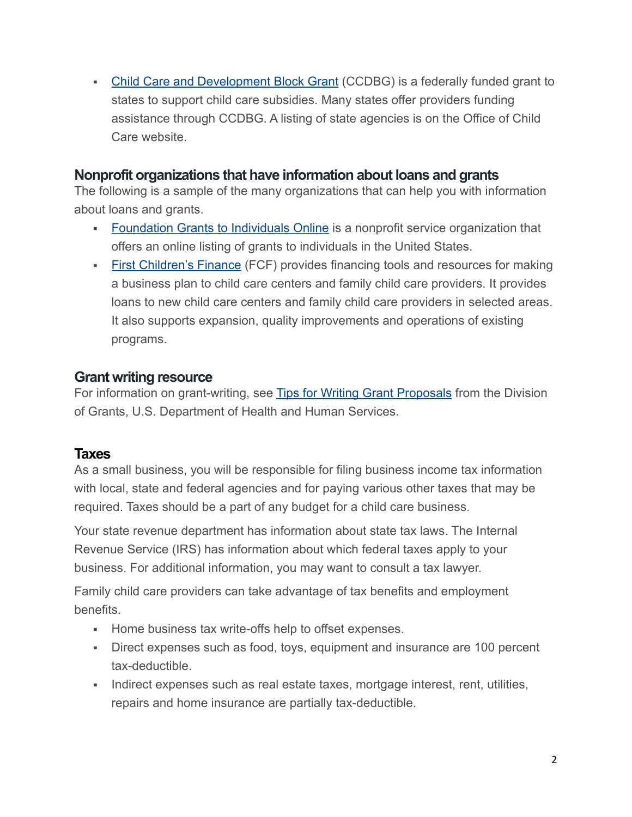• [Child Care and Development Block Grant](https://www.acf.hhs.gov/occ/resource/ccdf-grantee-state-and-territory-contacts) (CCDBG) is a federally funded grant to states to support child care subsidies. Many states offer providers funding assistance through CCDBG. A listing of state agencies is on the Office of Child Care website.

### **Nonprofit organizations that have information about loans and grants**

The following is a sample of the many organizations that can help you with information about loans and grants.

- **[Foundation Grants to Individuals Online](https://gtionline.foundationcenter.org/) is a nonprofit service organization that** offers an online listing of grants to individuals in the United States.
- **Eirst Children's Finance** (FCF) provides financing tools and resources for making a business plan to child care centers and family child care providers. It provides loans to new child care centers and family child care providers in selected areas. It also supports expansion, quality improvements and operations of existing programs.

### **Grant writing resource**

For information on grant-writing, see [Tips for Writing Grant Proposals](https://www.hhs.gov/grants/grants/get-ready-for-grants-management/tips-for-preparing-grant-proposals/index.html) from the Division of Grants, U.S. Department of Health and Human Services.

### **Taxes**

As a small business, you will be responsible for filing business income tax information with local, state and federal agencies and for paying various other taxes that may be required. Taxes should be a part of any budget for a child care business.

Your state revenue department has information about state tax laws. The Internal Revenue Service (IRS) has information about which federal taxes apply to your business. For additional information, you may want to consult a tax lawyer.

Family child care providers can take advantage of tax benefits and employment benefits.

- Home business tax write-offs help to offset expenses.
- **EXECT** Direct expenses such as food, toys, equipment and insurance are 100 percent tax-deductible.
- **EXECT** Indirect expenses such as real estate taxes, mortgage interest, rent, utilities, repairs and home insurance are partially tax-deductible.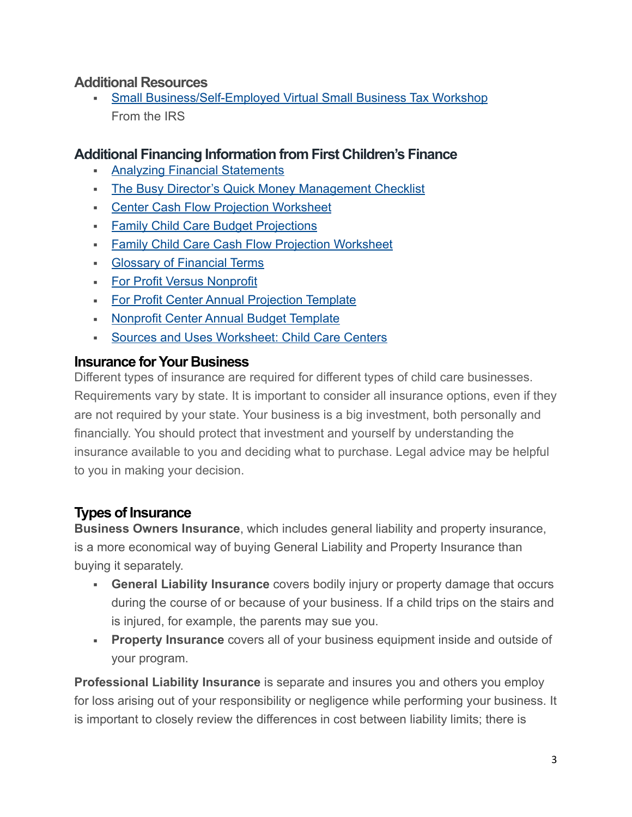### **Additional Resources**

**• [Small Business/Self-Employed Virtual Small Business Tax Workshop](https://www.irs.gov/businesses/small-businesses-self-employed/small-business-self-employed-virtual-small-business-tax-workshop)** From the IRS

### **Additional Financing Information from First Children's Finance**

- **[Analyzing Financial Statements](http://www.firstchildrensfinance.org/businessresourcecenter/wp-content/blogs.dir/2/files/2011/01/Tool-Analyzing-Financial-Information.pdf)**
- **[The Busy Director's Quick Money Management Checklist](http://www.firstchildrensfinance.org/businessresourcecenter/wp-content/blogs.dir/2/files/2011/01/Tool-Busy-Directors-Money-Management-Checklist.pdf)**
- **[Center Cash Flow Projection Worksheet](http://www.firstchildrensfinance.org/businessresourcecenter/wp-content/blogs.dir/2/files/2015/01/Tool-Center-Cash-Flow-Template-and-Sample-6-20031.xls)**
- **Eamily Child Care Budget Projections**
- **Eamily Child Care Cash Flow Projection Worksheet**
- **[Glossary of Financial Terms](http://www.firstchildrensfinance.org/businessresourcecenter/wp-content/blogs.dir/2/files/2011/01/Tool-Glossary-of-Financial-Terms.doc)**
- **[For Profit Versus Nonprofit](http://www.firstchildrensfinance.org/businessresourcecenter/wp-content/blogs.dir/2/files/2012/02/Tool-For-profit-vs-nonprofit.pdf)**
- **Eor Profit Center Annual Projection Template**
- **[Nonprofit Center Annual Budget Template](http://www.firstchildrensfinance.org/businessresourcecenter/wp-content/blogs.dir/2/files/2011/01/Tool-Non-Profit-Center-Annual-Budget-Template.xls)**
- [Sources and Uses Worksheet: Child Care Centers](http://www.firstchildrensfinance.org/businessresourcecenter/wp-content/blogs.dir/2/files/2011/01/Tool-Center-Sources-and-Uses.doc)

## **Insurance for Your Business**

Different types of insurance are required for different types of child care businesses. Requirements vary by state. It is important to consider all insurance options, even if they are not required by your state. Your business is a big investment, both personally and financially. You should protect that investment and yourself by understanding the insurance available to you and deciding what to purchase. Legal advice may be helpful to you in making your decision.

# **Types of Insurance**

**Business Owners Insurance**, which includes general liability and property insurance, is a more economical way of buying General Liability and Property Insurance than buying it separately.

- **General Liability Insurance** covers bodily injury or property damage that occurs during the course of or because of your business. If a child trips on the stairs and is injured, for example, the parents may sue you.
- **Property Insurance** covers all of your business equipment inside and outside of your program.

**Professional Liability Insurance** is separate and insures you and others you employ for loss arising out of your responsibility or negligence while performing your business. It is important to closely review the differences in cost between liability limits; there is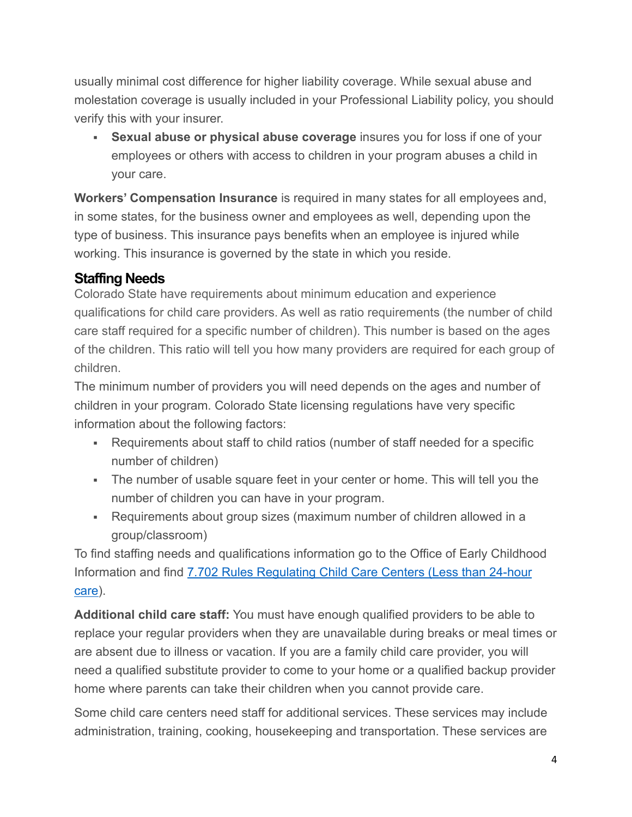usually minimal cost difference for higher liability coverage. While sexual abuse and molestation coverage is usually included in your Professional Liability policy, you should verify this with your insurer.

**EXECT:** Sexual abuse or physical abuse coverage insures you for loss if one of your employees or others with access to children in your program abuses a child in your care.

**Workers' Compensation Insurance** is required in many states for all employees and, in some states, for the business owner and employees as well, depending upon the type of business. This insurance pays benefits when an employee is injured while working. This insurance is governed by the state in which you reside.

## **Staffing Needs**

Colorado State have requirements about minimum education and experience qualifications for child care providers. As well as ratio requirements (the number of child care staff required for a specific number of children). This number is based on the ages of the children. This ratio will tell you how many providers are required for each group of children.

The minimum number of providers you will need depends on the ages and number of children in your program. Colorado State licensing regulations have very specific information about the following factors:

- Requirements about staff to child ratios (number of staff needed for a specific number of children)
- The number of usable square feet in your center or home. This will tell you the number of children you can have in your program.
- Requirements about group sizes (maximum number of children allowed in a group/classroom)

To find staffing needs and qualifications information go to the Office of Early Childhood Information and find [7.702 Rules Regulating Child Care Centers \(Less than 24-hour](https://dcfs.my.salesforce.com/sfc/p/#410000012srR/a/41000000Cg4h/Yz0MXFeo6c6IeuCcu9IZH24_bvIHdxTNbMI43gN0IIs)  [care](https://dcfs.my.salesforce.com/sfc/p/#410000012srR/a/41000000Cg4h/Yz0MXFeo6c6IeuCcu9IZH24_bvIHdxTNbMI43gN0IIs)).

**Additional child care staff:** You must have enough qualified providers to be able to replace your regular providers when they are unavailable during breaks or meal times or are absent due to illness or vacation. If you are a family child care provider, you will need a qualified substitute provider to come to your home or a qualified backup provider home where parents can take their children when you cannot provide care.

Some child care centers need staff for additional services. These services may include administration, training, cooking, housekeeping and transportation. These services are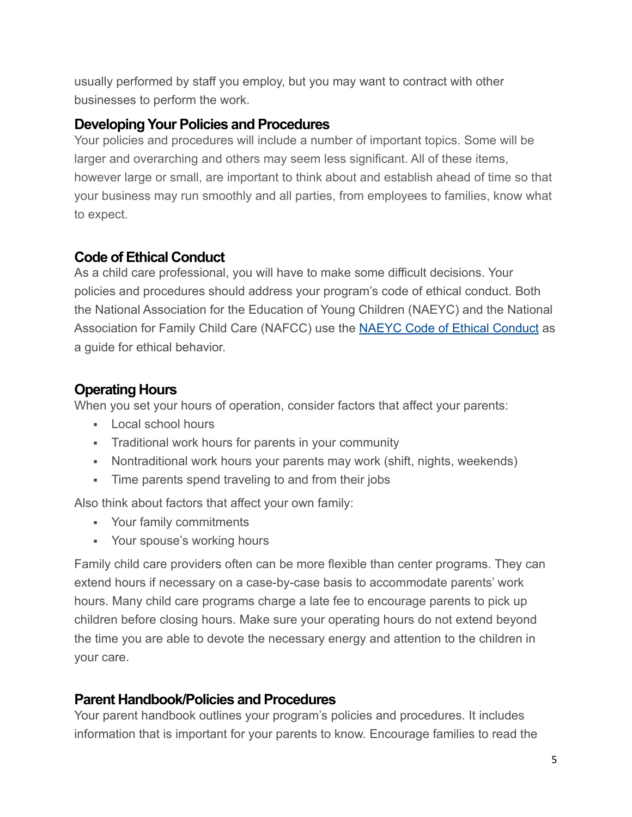usually performed by staff you employ, but you may want to contract with other businesses to perform the work.

## **Developing Your Policies and Procedures**

Your policies and procedures will include a number of important topics. Some will be larger and overarching and others may seem less significant. All of these items, however large or small, are important to think about and establish ahead of time so that your business may run smoothly and all parties, from employees to families, know what to expect.

## **Code of Ethical Conduct**

As a child care professional, you will have to make some difficult decisions. Your policies and procedures should address your program's code of ethical conduct. Both the National Association for the Education of Young Children (NAEYC) and the National Association for Family Child Care (NAFCC) use the [NAEYC Code of Ethical Conduct](https://www.naeyc.org/resources/position-statements/ethical-conduct) as a guide for ethical behavior.

# **Operating Hours**

When you set your hours of operation, consider factors that affect your parents:

- Local school hours
- **Traditional work hours for parents in your community**
- Nontraditional work hours your parents may work (shift, nights, weekends)
- **.** Time parents spend traveling to and from their jobs

Also think about factors that affect your own family:

- Your family commitments
- **Your spouse's working hours**

Family child care providers often can be more flexible than center programs. They can extend hours if necessary on a case-by-case basis to accommodate parents' work hours. Many child care programs charge a late fee to encourage parents to pick up children before closing hours. Make sure your operating hours do not extend beyond the time you are able to devote the necessary energy and attention to the children in your care.

# **Parent Handbook/Policies and Procedures**

Your parent handbook outlines your program's policies and procedures. It includes information that is important for your parents to know. Encourage families to read the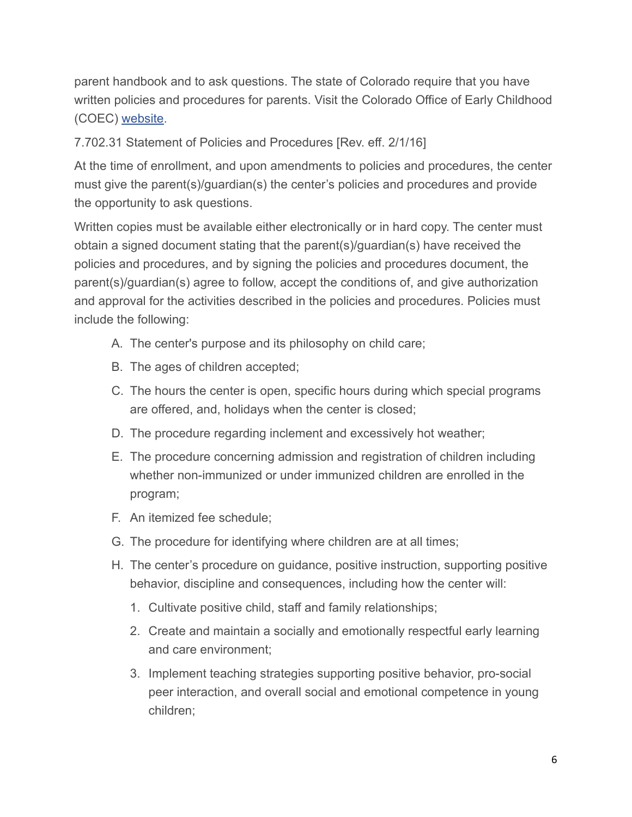parent handbook and to ask questions. The state of Colorado require that you have written policies and procedures for parents. Visit the Colorado Office of Early Childhood (COEC) [website.](http://coloradoofficeofearlychildhood.force.com/oec/OEC_Providers?p=Providers&s=Support-Resources-and-Guides&lang=en)

7.702.31 Statement of Policies and Procedures [Rev. eff. 2/1/16]

At the time of enrollment, and upon amendments to policies and procedures, the center must give the parent(s)/guardian(s) the center's policies and procedures and provide the opportunity to ask questions.

Written copies must be available either electronically or in hard copy. The center must obtain a signed document stating that the parent(s)/guardian(s) have received the policies and procedures, and by signing the policies and procedures document, the parent(s)/guardian(s) agree to follow, accept the conditions of, and give authorization and approval for the activities described in the policies and procedures. Policies must include the following:

- A. The center's purpose and its philosophy on child care;
- B. The ages of children accepted;
- C. The hours the center is open, specific hours during which special programs are offered, and, holidays when the center is closed;
- D. The procedure regarding inclement and excessively hot weather;
- E. The procedure concerning admission and registration of children including whether non-immunized or under immunized children are enrolled in the program;
- F. An itemized fee schedule;
- G. The procedure for identifying where children are at all times;
- H. The center's procedure on guidance, positive instruction, supporting positive behavior, discipline and consequences, including how the center will:
	- 1. Cultivate positive child, staff and family relationships;
	- 2. Create and maintain a socially and emotionally respectful early learning and care environment;
	- 3. Implement teaching strategies supporting positive behavior, pro-social peer interaction, and overall social and emotional competence in young children;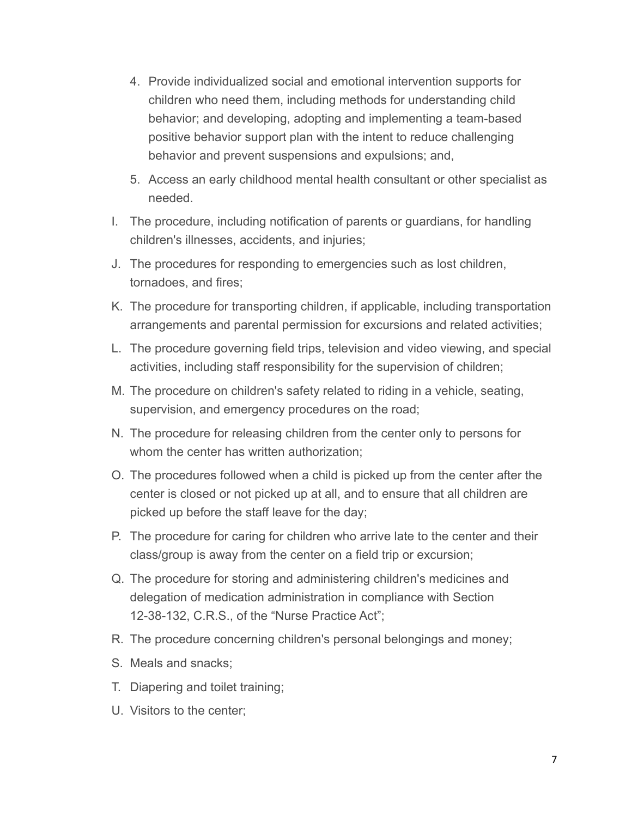- 4. Provide individualized social and emotional intervention supports for children who need them, including methods for understanding child behavior; and developing, adopting and implementing a team-based positive behavior support plan with the intent to reduce challenging behavior and prevent suspensions and expulsions; and,
- 5. Access an early childhood mental health consultant or other specialist as needed.
- I. The procedure, including notification of parents or guardians, for handling children's illnesses, accidents, and injuries;
- J. The procedures for responding to emergencies such as lost children, tornadoes, and fires;
- K. The procedure for transporting children, if applicable, including transportation arrangements and parental permission for excursions and related activities;
- L. The procedure governing field trips, television and video viewing, and special activities, including staff responsibility for the supervision of children;
- M. The procedure on children's safety related to riding in a vehicle, seating, supervision, and emergency procedures on the road;
- N. The procedure for releasing children from the center only to persons for whom the center has written authorization:
- O. The procedures followed when a child is picked up from the center after the center is closed or not picked up at all, and to ensure that all children are picked up before the staff leave for the day;
- P. The procedure for caring for children who arrive late to the center and their class/group is away from the center on a field trip or excursion;
- Q. The procedure for storing and administering children's medicines and delegation of medication administration in compliance with Section 12-38-132, C.R.S., of the "Nurse Practice Act";
- R. The procedure concerning children's personal belongings and money;
- S. Meals and snacks;
- T. Diapering and toilet training;
- U. Visitors to the center;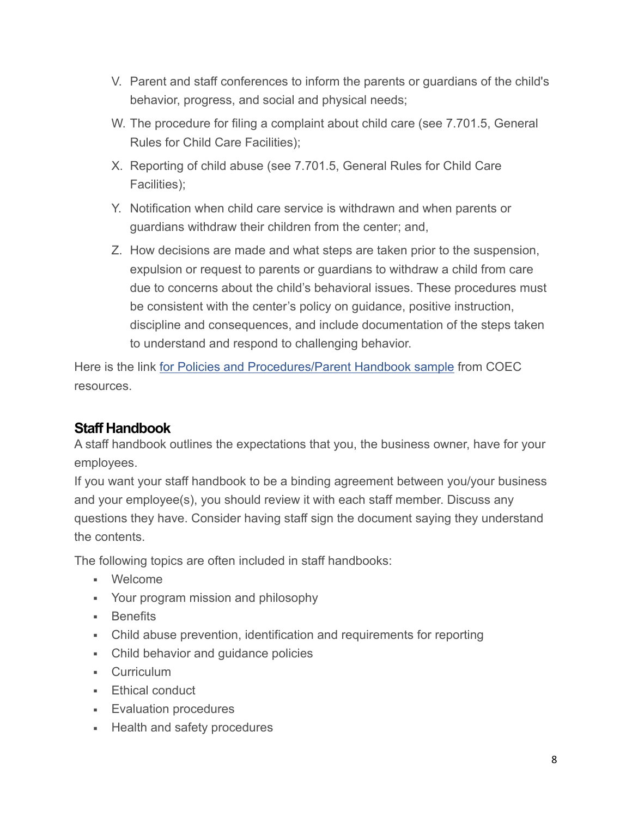- V. Parent and staff conferences to inform the parents or guardians of the child's behavior, progress, and social and physical needs;
- W. The procedure for filing a complaint about child care (see 7.701.5, General Rules for Child Care Facilities);
- X. Reporting of child abuse (see 7.701.5, General Rules for Child Care Facilities);
- Y. Notification when child care service is withdrawn and when parents or guardians withdraw their children from the center; and,
- Z. How decisions are made and what steps are taken prior to the suspension, expulsion or request to parents or guardians to withdraw a child from care due to concerns about the child's behavioral issues. These procedures must be consistent with the center's policy on guidance, positive instruction, discipline and consequences, and include documentation of the steps taken to understand and respond to challenging behavior.

Here is the link for Policies and Procedures/Parent Handbook sample from COEC resources.

## **Staff Handbook**

A staff handbook outlines the expectations that you, the business owner, have for your employees.

If you want your staff handbook to be a binding agreement between you/your business and your employee(s), you should review it with each staff member. Discuss any questions they have. Consider having staff sign the document saying they understand the contents.

The following topics are often included in staff handbooks:

- Welcome
- Your program mission and philosophy
- **■** Benefits
- Child abuse prevention, identification and requirements for reporting
- Child behavior and guidance policies
- **•** Curriculum
- **Ethical conduct**
- **Evaluation procedures**
- Health and safety procedures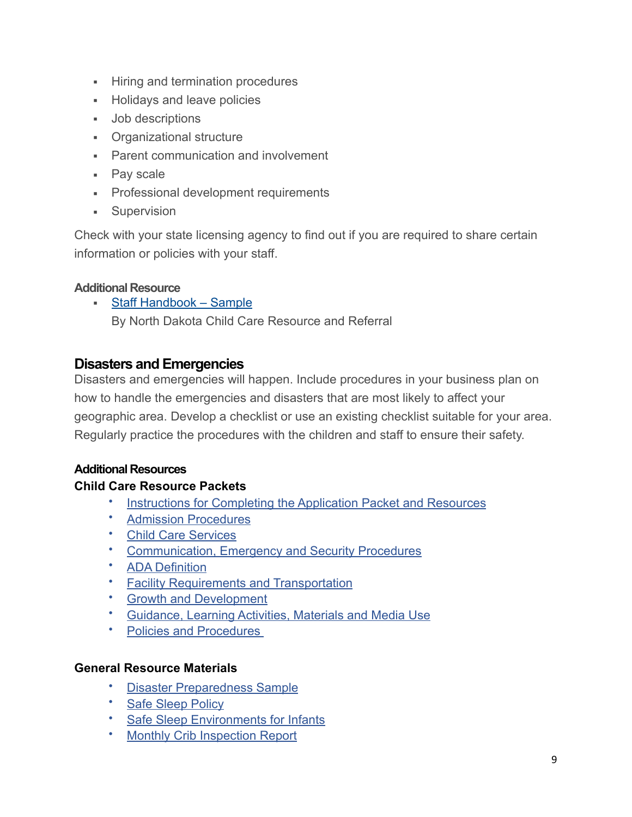- **EXECUTE:** Hiring and termination procedures
- Holidays and leave policies
- Job descriptions
- Organizational structure
- **Parent communication and involvement**
- Pay scale
- **Professional development requirements**
- **•** Supervision

Check with your state licensing agency to find out if you are required to share certain information or policies with your staff.

#### **Additional Resource**

• [Staff Handbook – Sample](http://childcareaware.org/wp-content/uploads/2016/05/staffhandbookcenters1_0.pdf) By North Dakota Child Care Resource and Referral

### **Disasters and Emergencies**

Disasters and emergencies will happen. Include procedures in your business plan on how to handle the emergencies and disasters that are most likely to affect your geographic area. Develop a checklist or use an existing checklist suitable for your area. Regularly practice the procedures with the children and staff to ensure their safety.

#### **Additional Resources**

#### **Child Care Resource Packets**

- [Instructions for Completing the Application Packet and Resources](http://dcfs.my.salesforce.com/sfc/p/410000012srR/a/41000000Cg6s/EzJTW04w3PMteg65UfbOWKwpArazD_FlzsKZrmh7XXA)
- [Admission Procedure](https://dcfs.my.salesforce.com/sfc/p/410000012srR/a/41000000Cg6i/tzZU.DEJpXYZHE4jSme6EC.IMbOrhmn_ngvtkovlu5Y)[s](http://dcfs.my.salesforce.com/sfc/p/410000012srR/a/41000000Cg6i/tzZU.DEJpXYZHE4jSme6EC.IMbOrhmn_ngvtkovlu5Y)
- [Child Care Services](https://dcfs.my.salesforce.com/sfc/p/410000012srR/a/41000000Cg6d/7iz0ydm7i0opSar0UABytgsg_JvU1MbHZlMxnFWz2w4)
- [Communication, Emergency and Security Procedures](https://dcfs.my.salesforce.com/sfc/p/410000012srR/a/41000000Cg6Y/f_qj39dGDG5.JnxBoH_.Nf0FCHOSAZirWcg_TNgrdAY)
- [ADA](http://dcfs.my.salesforce.com/sfc/p/410000012srR/a/41000000Cg7C/RaXFMj_aNd342hqXyMMzqGagC5ISJKwHQZUqIfNDPeE) [Definition](https://dcfs.my.salesforce.com/sfc/p/410000012srR/a/41000000Cg7C/RaXFMj_aNd342hqXyMMzqGagC5ISJKwHQZUqIfNDPeE)
- [Facility Requirements and Transportation](https://dcfs.my.salesforce.com/sfc/p/410000012srR/a/41000000Cg77/oJgiea7AeGcAasaH9XZdxNRv7tn9jVOytYwBFlQojyE)
- [Growth and Development](https://dcfs.my.salesforce.com/sfc/p/410000012srR/a/41000000Cg72/p1w_SUGXahWt9IsPaTP69WN7fDk6XC5KmWuNFVrby50)
- [Guidance, Learning Activities, Materials and Media Use](https://dcfs.my.salesforce.com/sfc/p/410000012srR/a/41000000Cg6x/PMx9wx3i4vUSsjl54G3iqcr3XsT.PiZS.W5otW82qAw)
- [Policies and Procedures](https://dcfs.my.salesforce.com/sfc/p/410000012srR/a/41000000Cg6n/Az8P7JwwxoNdesKqM0SPrmtOXm72nJsEL35nC_QuCUo)

#### **General Resource Materials**

- [Disaster Preparedness Sample](https://dcfs.my.salesforce.com/sfc/p/410000012srR/a/41000000CgHR/NOFln7Q_lhU4RTWs6VLBE6XZkI1DL5elN18AIu65Lrk)
- [Safe Sleep Policy](https://dcfs.my.salesforce.com/sfc/p/410000012srR/a/41000000CgH2/6krbjIiyWMHHxgjo1ikcsdHIyuGJN7V2JXMEDhAgJCk)
- [Safe Sleep Environments for Infants](https://dcfs.my.salesforce.com/sfc/p/410000012srR/a/41000000CgH7/BJqhwYfxKtG7juZUmoSOOQ9fB5noXEbPojVauc.hsTA)
- **Monthly Crib Inspection Report**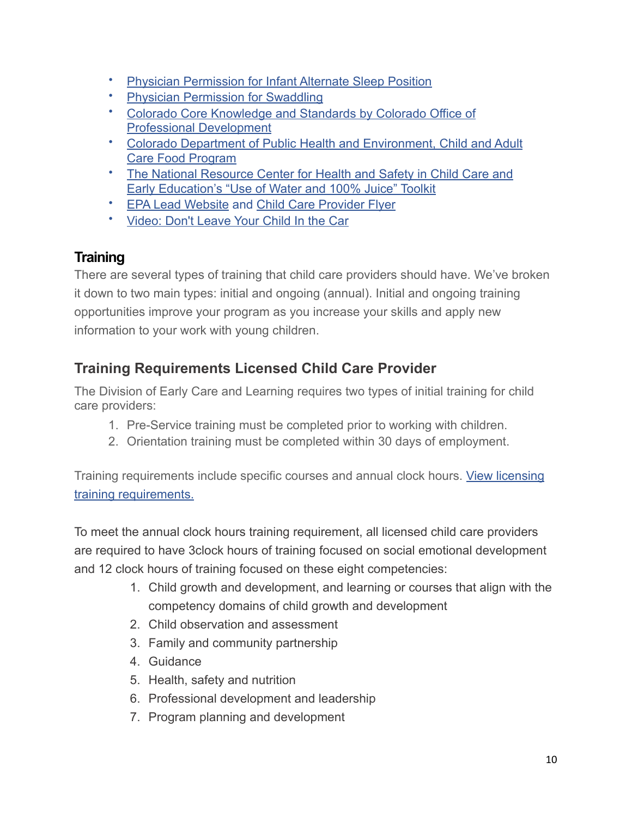- [Physician Permission for Infant Alternate Sleep Position](https://dcfs.my.salesforce.com/sfc/p/410000012srR/a/41000000CgHH/mD6iJ6LLtWd2Sv98fe7Zdjb5HwphHJgHYqrnhYPf.dM)
- [Physician Permission for Swaddling](https://dcfs.my.salesforce.com/sfc/p/410000012srR/a/41000000CgHC/U6zXBTFPRyaB4cviXzWd4orDh.ysOavFetl3PINGAOc)
- [Colorado Core Knowledge and Standards by Colorado Office of](http://www.netnewsdesk.com/resources/375/File/ECC-OPD/PDF/home/CKSBook.pdf)  [Professional Development](http://www.netnewsdesk.com/resources/375/File/ECC-OPD/PDF/home/CKSBook.pdf)
- [Colorado Department of Public Health and Environment, Child and Adult](https://www.colorado.gov/pacific/cdphe/cacfp)  [Care Food Program](https://www.colorado.gov/pacific/cdphe/cacfp)
- [The National Resource Center for Health and Safety in Child Care and](http://nrckids.org/default/assets/File/Products/Toolkits/WaterJuiceToolkitCombined.pdf)  [Early Education's "Use of Water and 100% Juice" Toolkit](http://nrckids.org/default/assets/File/Products/Toolkits/WaterJuiceToolkitCombined.pdf)
- [EPA Lead Website](https://www.epa.gov/lead) and [Child Care Provider Flyer](http://www2.epa.gov/sites/production/files/2013-08/documents/childcareproviderrrptrifold_horizontal.pdf)
- [Video: Don't Leave Your Child In the Car](https://youtu.be/p9qEj79buBU)

# **Training**

There are several types of training that child care providers should have. We've broken it down to two main types: initial and ongoing (annual). Initial and ongoing training opportunities improve your program as you increase your skills and apply new information to your work with young children.

# **Training Requirements Licensed Child Care Provider**

The Division of Early Care and Learning requires two types of initial training for child care providers:

- 1. Pre-Service training must be completed prior to working with children.
- 2. Orientation training must be completed within 30 days of employment.

Training requirements include specific courses and annual clock hours. [View licensing](https://dcfs.my.salesforce.com/sfc/p/410000012srR/a/41000000Cg7v/9PxvgbyI8d0_am.8KUQv5LLIOT2WJOB68sPIp2liFTA)  [training requirements.](https://dcfs.my.salesforce.com/sfc/p/410000012srR/a/41000000Cg7v/9PxvgbyI8d0_am.8KUQv5LLIOT2WJOB68sPIp2liFTA)

To meet the annual clock hours training requirement, all licensed child care providers are required to have 3clock hours of training focused on social emotional development and 12 clock hours of training focused on these eight competencies:

- 1. Child growth and development, and learning or courses that align with the competency domains of child growth and development
- 2. Child observation and assessment
- 3. Family and community partnership
- 4. Guidance
- 5. Health, safety and nutrition
- 6. Professional development and leadership
- 7. Program planning and development